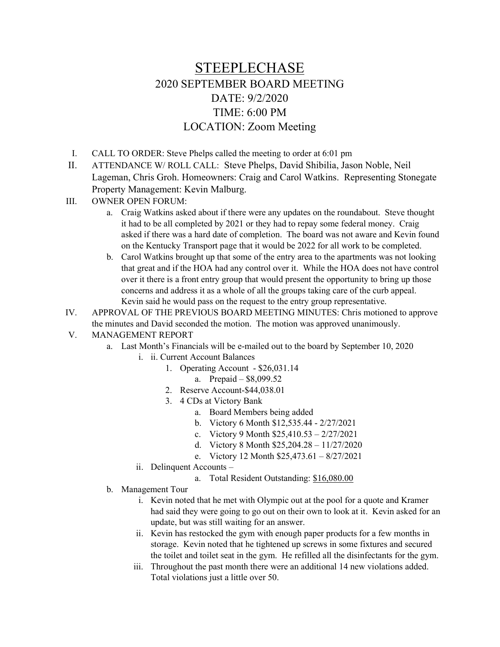## STEEPLECHASE 2020 SEPTEMBER BOARD MEETING DATE: 9/2/2020 TIME: 6:00 PM LOCATION: Zoom Meeting

- I. CALL TO ORDER: Steve Phelps called the meeting to order at 6:01 pm
- II. ATTENDANCE W/ ROLL CALL: Steve Phelps, David Shibilia, Jason Noble, Neil Lageman, Chris Groh. Homeowners: Craig and Carol Watkins. Representing Stonegate Property Management: Kevin Malburg.
- III. OWNER OPEN FORUM:
	- a. Craig Watkins asked about if there were any updates on the roundabout. Steve thought it had to be all completed by 2021 or they had to repay some federal money. Craig asked if there was a hard date of completion. The board was not aware and Kevin found on the Kentucky Transport page that it would be 2022 for all work to be completed.
	- b. Carol Watkins brought up that some of the entry area to the apartments was not looking that great and if the HOA had any control over it. While the HOA does not have control over it there is a front entry group that would present the opportunity to bring up those concerns and address it as a whole of all the groups taking care of the curb appeal. Kevin said he would pass on the request to the entry group representative.
- IV. APPROVAL OF THE PREVIOUS BOARD MEETING MINUTES: Chris motioned to approve the minutes and David seconded the motion. The motion was approved unanimously.
- V. MANAGEMENT REPORT
	- a. Last Month's Financials will be e-mailed out to the board by September 10, 2020
		- i. ii. Current Account Balances
			- 1. Operating Account \$26,031.14
				- a. Prepaid \$8,099.52
			- 2. Reserve Account-\$44,038.01
			- 3. 4 CDs at Victory Bank
				- a. Board Members being added
				- b. Victory 6 Month \$12,535.44 2/27/2021
				- c. Victory 9 Month \$25,410.53 2/27/2021
				- d. Victory 8 Month \$25,204.28 11/27/2020
				- e. Victory 12 Month \$25,473.61 8/27/2021
		- ii. Delinquent Accounts
			- a. Total Resident Outstanding: \$16,080.00
	- b. Management Tour
		- i. Kevin noted that he met with Olympic out at the pool for a quote and Kramer had said they were going to go out on their own to look at it. Kevin asked for an update, but was still waiting for an answer.
		- ii. Kevin has restocked the gym with enough paper products for a few months in storage. Kevin noted that he tightened up screws in some fixtures and secured the toilet and toilet seat in the gym. He refilled all the disinfectants for the gym.
		- iii. Throughout the past month there were an additional 14 new violations added. Total violations just a little over 50.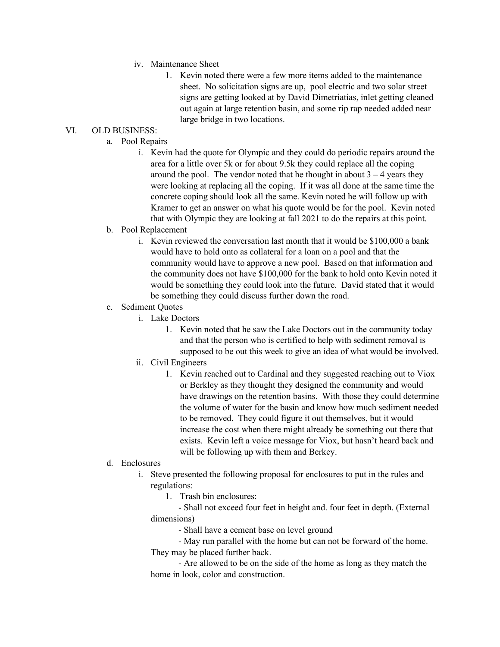- iv. Maintenance Sheet
	- 1. Kevin noted there were a few more items added to the maintenance sheet. No solicitation signs are up, pool electric and two solar street signs are getting looked at by David Dimetriatias, inlet getting cleaned out again at large retention basin, and some rip rap needed added near large bridge in two locations.

## VI. OLD BUSINESS:

- a. Pool Repairs
	- i. Kevin had the quote for Olympic and they could do periodic repairs around the area for a little over 5k or for about 9.5k they could replace all the coping around the pool. The vendor noted that he thought in about  $3 - 4$  years they were looking at replacing all the coping. If it was all done at the same time the concrete coping should look all the same. Kevin noted he will follow up with Kramer to get an answer on what his quote would be for the pool. Kevin noted that with Olympic they are looking at fall 2021 to do the repairs at this point.

## b. Pool Replacement

- i. Kevin reviewed the conversation last month that it would be \$100,000 a bank would have to hold onto as collateral for a loan on a pool and that the community would have to approve a new pool. Based on that information and the community does not have \$100,000 for the bank to hold onto Kevin noted it would be something they could look into the future. David stated that it would be something they could discuss further down the road.
- c. Sediment Quotes
	- i. Lake Doctors
		- 1. Kevin noted that he saw the Lake Doctors out in the community today and that the person who is certified to help with sediment removal is supposed to be out this week to give an idea of what would be involved.
	- ii. Civil Engineers
		- 1. Kevin reached out to Cardinal and they suggested reaching out to Viox or Berkley as they thought they designed the community and would have drawings on the retention basins. With those they could determine the volume of water for the basin and know how much sediment needed to be removed. They could figure it out themselves, but it would increase the cost when there might already be something out there that exists. Kevin left a voice message for Viox, but hasn't heard back and will be following up with them and Berkey.
- d. Enclosures
	- i. Steve presented the following proposal for enclosures to put in the rules and regulations:
		- 1. Trash bin enclosures:

 - Shall not exceed four feet in height and. four feet in depth. (External dimensions)

- Shall have a cement base on level ground

 - May run parallel with the home but can not be forward of the home. They may be placed further back.

 - Are allowed to be on the side of the home as long as they match the home in look, color and construction.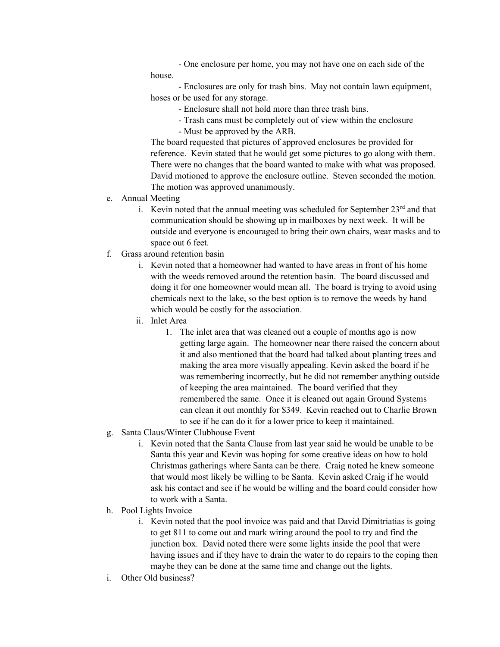- One enclosure per home, you may not have one on each side of the house.

 - Enclosures are only for trash bins. May not contain lawn equipment, hoses or be used for any storage.

- Enclosure shall not hold more than three trash bins.
- Trash cans must be completely out of view within the enclosure
- Must be approved by the ARB.

The board requested that pictures of approved enclosures be provided for reference. Kevin stated that he would get some pictures to go along with them. There were no changes that the board wanted to make with what was proposed. David motioned to approve the enclosure outline. Steven seconded the motion. The motion was approved unanimously.

- e. Annual Meeting
	- i. Kevin noted that the annual meeting was scheduled for September  $23<sup>rd</sup>$  and that communication should be showing up in mailboxes by next week. It will be outside and everyone is encouraged to bring their own chairs, wear masks and to space out 6 feet.
- f. Grass around retention basin
	- i. Kevin noted that a homeowner had wanted to have areas in front of his home with the weeds removed around the retention basin. The board discussed and doing it for one homeowner would mean all. The board is trying to avoid using chemicals next to the lake, so the best option is to remove the weeds by hand which would be costly for the association.
	- ii. Inlet Area
		- 1. The inlet area that was cleaned out a couple of months ago is now getting large again. The homeowner near there raised the concern about it and also mentioned that the board had talked about planting trees and making the area more visually appealing. Kevin asked the board if he was remembering incorrectly, but he did not remember anything outside of keeping the area maintained. The board verified that they remembered the same. Once it is cleaned out again Ground Systems can clean it out monthly for \$349. Kevin reached out to Charlie Brown to see if he can do it for a lower price to keep it maintained.
- g. Santa Claus/Winter Clubhouse Event
	- i. Kevin noted that the Santa Clause from last year said he would be unable to be Santa this year and Kevin was hoping for some creative ideas on how to hold Christmas gatherings where Santa can be there. Craig noted he knew someone that would most likely be willing to be Santa. Kevin asked Craig if he would ask his contact and see if he would be willing and the board could consider how to work with a Santa.
- h. Pool Lights Invoice
	- i. Kevin noted that the pool invoice was paid and that David Dimitriatias is going to get 811 to come out and mark wiring around the pool to try and find the junction box. David noted there were some lights inside the pool that were having issues and if they have to drain the water to do repairs to the coping then maybe they can be done at the same time and change out the lights.
- i. Other Old business?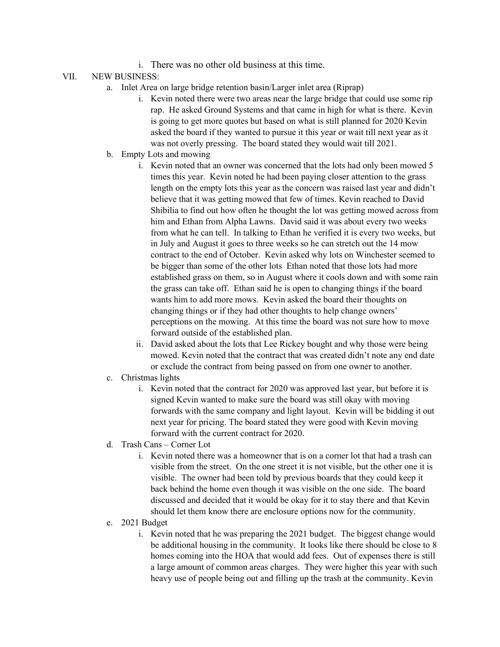i. There was no other old business at this time.

## VII. NEW BUSINESS:

- a. Inlet Area on large bridge retention basin/Larger inlet area (Riprap)
	- i. Kevin noted there were two areas near the large bridge that could use some rip rap. He asked Ground Systems and that came in high for what is there. Kevin is going to get more quotes but based on what is still planned for 2020 Kevin asked the board if they wanted to pursue it this year or wait till next year as it was not overly pressing. The board stated they would wait till 2021.
- b. Empty Lots and mowing
	- i. Kevin noted that an owner was concerned that the lots had only been mowed 5 times this year. Kevin noted he had been paying closer attention to the grass length on the empty lots this year as the concern was raised last year and didn't believe that it was getting mowed that few of times. Kevin reached to David Shibilia to find out how often he thought the lot was getting mowed across from him and Ethan from Alpha Lawns. David said it was about every two weeks from what he can tell. In talking to Ethan he verified it is every two weeks, but in July and August it goes to three weeks so he can stretch out the 14 mow contract to the end of October. Kevin asked why lots on Winchester seemed to be bigger than some of the other lots Ethan noted that those lots had more established grass on them, so in August where it cools down and with some rain the grass can take off. Ethan said he is open to changing things if the board wants him to add more mows. Kevin asked the board their thoughts on changing things or if they had other thoughts to help change owners' perceptions on the mowing. At this time the board was not sure how to move forward outside of the established plan.
	- ii. David asked about the lots that Lee Rickey bought and why those were being mowed. Kevin noted that the contract that was created didn't note any end date or exclude the contract from being passed on from one owner to another.
- c. Christmas lights
	- i. Kevin noted that the contract for 2020 was approved last year, but before it is signed Kevin wanted to make sure the board was still okay with moving forwards with the same company and light layout. Kevin will be bidding it out next year for pricing. The board stated they were good with Kevin moving forward with the current contract for 2020.
- d. Trash Cans Corner Lot
	- i. Kevin noted there was a homeowner that is on a corner lot that had a trash can visible from the street. On the one street it is not visible, but the other one it is visible. The owner had been told by previous boards that they could keep it back behind the home even though it was visible on the one side. The board discussed and decided that it would be okay for it to stay there and that Kevin should let them know there are enclosure options now for the community.
- e. 2021 Budget
	- i. Kevin noted that he was preparing the 2021 budget. The biggest change would be additional housing in the community. It looks like there should be close to 8 homes coming into the HOA that would add fees. Out of expenses there is still a large amount of common areas charges. They were higher this year with such heavy use of people being out and filling up the trash at the community. Kevin